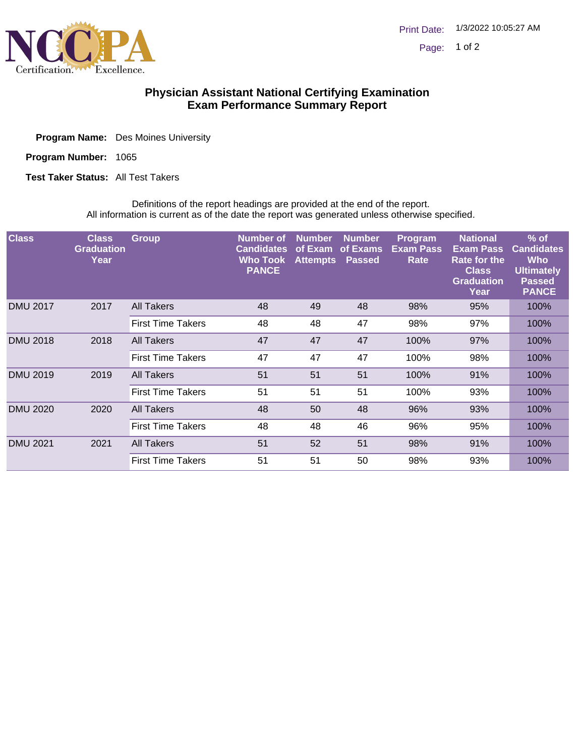

## **Physician Assistant National Certifying Examination Exam Performance Summary Report**

| <b>Program Name:</b> Des Moines University |
|--------------------------------------------|
|                                            |

Program Number: 1065

**Test Taker Status: All Test Takers** 

Definitions of the report headings are provided at the end of the report. All information is current as of the date the report was generated unless otherwise specified.

| <b>Class</b>    | <b>Class</b><br><b>Graduation</b><br>Year | <b>Group</b>             | Number of<br><b>Candidates</b><br>Who Took<br><b>PANCE</b> | <b>Number</b><br>of Exam<br><b>Attempts</b> | <b>Number</b><br>of Exams<br><b>Passed</b> | Program<br><b>Exam Pass</b><br>Rate | <b>National</b><br><b>Exam Pass</b><br>Rate for the<br><b>Class</b><br><b>Graduation</b><br>Year | $%$ of<br><b>Candidates</b><br><b>Who</b><br><b>Ultimately</b><br><b>Passed</b><br><b>PANCE</b> |
|-----------------|-------------------------------------------|--------------------------|------------------------------------------------------------|---------------------------------------------|--------------------------------------------|-------------------------------------|--------------------------------------------------------------------------------------------------|-------------------------------------------------------------------------------------------------|
| <b>DMU 2017</b> | 2017                                      | <b>All Takers</b>        | 48                                                         | 49                                          | 48                                         | 98%                                 | 95%                                                                                              | 100%                                                                                            |
|                 |                                           | <b>First Time Takers</b> | 48                                                         | 48                                          | 47                                         | 98%                                 | 97%                                                                                              | 100%                                                                                            |
| <b>DMU 2018</b> | 2018                                      | All Takers               | 47                                                         | 47                                          | 47                                         | 100%                                | 97%                                                                                              | 100%                                                                                            |
|                 |                                           | <b>First Time Takers</b> | 47                                                         | 47                                          | 47                                         | 100%                                | 98%                                                                                              | 100%                                                                                            |
| <b>DMU 2019</b> | 2019                                      | <b>All Takers</b>        | 51                                                         | 51                                          | 51                                         | 100%                                | 91%                                                                                              | 100%                                                                                            |
|                 |                                           | <b>First Time Takers</b> | 51                                                         | 51                                          | 51                                         | 100%                                | 93%                                                                                              | 100%                                                                                            |
| <b>DMU 2020</b> | 2020                                      | <b>All Takers</b>        | 48                                                         | 50                                          | 48                                         | 96%                                 | 93%                                                                                              | 100%                                                                                            |
|                 |                                           | <b>First Time Takers</b> | 48                                                         | 48                                          | 46                                         | 96%                                 | 95%                                                                                              | 100%                                                                                            |
| <b>DMU 2021</b> | 2021                                      | All Takers               | 51                                                         | 52                                          | 51                                         | 98%                                 | 91%                                                                                              | 100%                                                                                            |
|                 |                                           | <b>First Time Takers</b> | 51                                                         | 51                                          | 50                                         | 98%                                 | 93%                                                                                              | 100%                                                                                            |